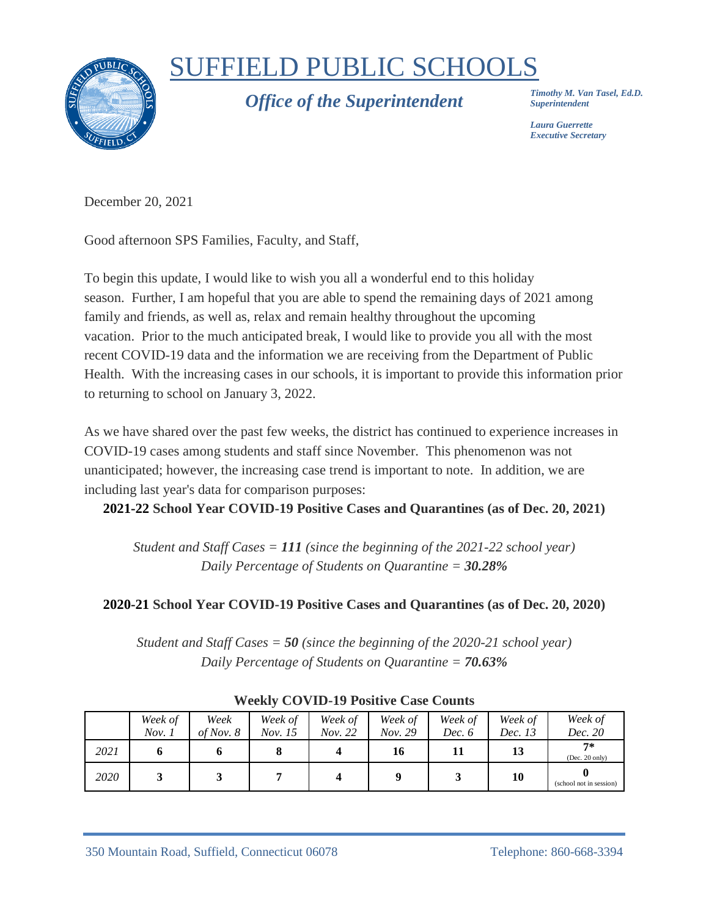

## SUFFIELD PUBLIC SCHOOLS

*Office of the Superintendent*

*Timothy M. Van Tasel, Ed.D. Superintendent*

*Laura Guerrette Executive Secretary*

December 20, 2021

Good afternoon SPS Families, Faculty, and Staff,

To begin this update, I would like to wish you all a wonderful end to this holiday season. Further, I am hopeful that you are able to spend the remaining days of 2021 among family and friends, as well as, relax and remain healthy throughout the upcoming vacation. Prior to the much anticipated break, I would like to provide you all with the most recent COVID-19 data and the information we are receiving from the Department of Public Health. With the increasing cases in our schools, it is important to provide this information prior to returning to school on January 3, 2022.

As we have shared over the past few weeks, the district has continued to experience increases in COVID-19 cases among students and staff since November. This phenomenon was not unanticipated; however, the increasing case trend is important to note. In addition, we are including last year's data for comparison purposes:

**2021-22 School Year COVID-19 Positive Cases and Quarantines (as of Dec. 20, 2021)**

*Student and Staff Cases = 111 (since the beginning of the 2021-22 school year) Daily Percentage of Students on Quarantine = 30.28%*

## **2020-21 School Year COVID-19 Positive Cases and Quarantines (as of Dec. 20, 2020)**

*Student and Staff Cases = 50 (since the beginning of the 2020-21 school year) Daily Percentage of Students on Quarantine = 70.63%*

|      | Week of | Week        | Week of | Week of | Week of | Week of | Week of | Week of                 |
|------|---------|-------------|---------|---------|---------|---------|---------|-------------------------|
|      | Nov. 1  | of Nov. $8$ | Nov. 15 | Nov. 22 | Nov. 29 | Dec. 6  | Dec. 13 | Dec. 20                 |
| 2021 |         |             |         |         | 16      | 11      | 13      | $7*$<br>(Dec. 20 only)  |
| 2020 |         |             |         |         |         |         | 10      | (school not in session) |

## **Weekly COVID-19 Positive Case Counts**